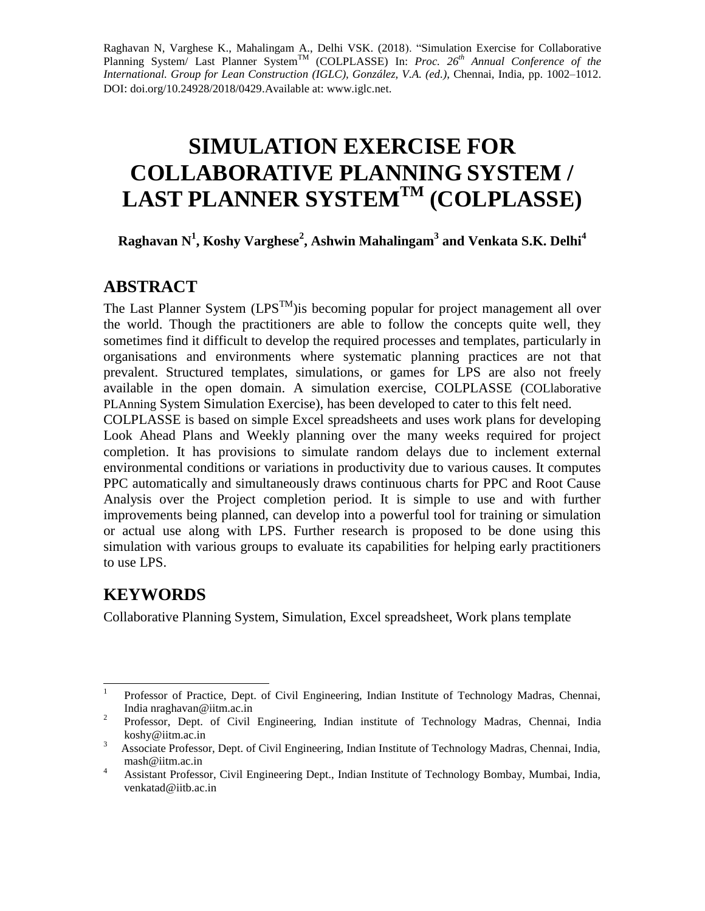Raghavan N, Varghese K., Mahalingam A., Delhi VSK. (2018). "Simulation Exercise for Collaborative Planning System/ Last Planner System<sup>TM</sup> (COLPLASSE) In: *Proc. 26<sup>th</sup> Annual Conference of the International. Group for Lean Construction (IGLC), González, V.A. (ed.)*, Chennai, India, pp. 1002–1012. DOI: doi.org/10.24928/2018/0429.Available at: www.iglc.net.

# **SIMULATION EXERCISE FOR COLLABORATIVE PLANNING SYSTEM / LAST PLANNER SYSTEMTM (COLPLASSE)**

**Raghavan N<sup>1</sup> , Koshy Varghese<sup>2</sup> , Ashwin Mahalingam<sup>3</sup> and Venkata S.K. Delhi<sup>4</sup>**

### **ABSTRACT**

The Last Planner System  $(LPS^{TM})$  is becoming popular for project management all over the world. Though the practitioners are able to follow the concepts quite well, they sometimes find it difficult to develop the required processes and templates, particularly in organisations and environments where systematic planning practices are not that prevalent. Structured templates, simulations, or games for LPS are also not freely available in the open domain. A simulation exercise, COLPLASSE (COLlaborative PLAnning System Simulation Exercise), has been developed to cater to this felt need.

COLPLASSE is based on simple Excel spreadsheets and uses work plans for developing Look Ahead Plans and Weekly planning over the many weeks required for project completion. It has provisions to simulate random delays due to inclement external environmental conditions or variations in productivity due to various causes. It computes PPC automatically and simultaneously draws continuous charts for PPC and Root Cause Analysis over the Project completion period. It is simple to use and with further improvements being planned, can develop into a powerful tool for training or simulation or actual use along with LPS. Further research is proposed to be done using this simulation with various groups to evaluate its capabilities for helping early practitioners to use LPS.

# **KEYWORDS**

Collaborative Planning System, Simulation, Excel spreadsheet, Work plans template

<sup>|&</sup>lt;br>|<br>| Professor of Practice, Dept. of Civil Engineering, Indian Institute of Technology Madras, Chennai, India [nraghavan@iitm.ac.in](mailto:nraghavan@iitm.ac.in)

<sup>2</sup> Professor, Dept. of Civil Engineering, Indian institute of Technology Madras, Chennai, India [koshy@iitm.ac.in](mailto:koshy@iitm.ac.in)

<sup>&</sup>lt;sup>3</sup> Associate Professor, Dept. of Civil Engineering, Indian Institute of Technology Madras, Chennai, India, [mash@iitm.ac.in](mailto:mash@iitm.ac.in)

<sup>4</sup> Assistant Professor, Civil Engineering Dept., Indian Institute of Technology Bombay, Mumbai, India, [venkatad@iitb.ac.in](mailto:venkatad@iitb.ac.in)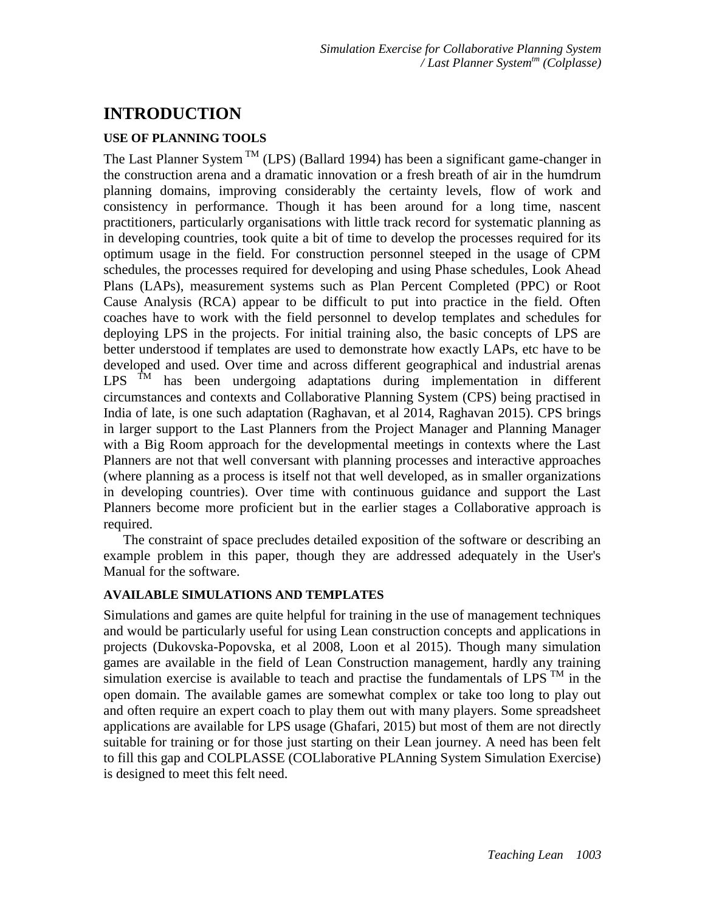## **INTRODUCTION**

#### **USE OF PLANNING TOOLS**

The Last Planner System  $<sup>TM</sup>$  (LPS) (Ballard 1994) has been a significant game-changer in</sup> the construction arena and a dramatic innovation or a fresh breath of air in the humdrum planning domains, improving considerably the certainty levels, flow of work and consistency in performance. Though it has been around for a long time, nascent practitioners, particularly organisations with little track record for systematic planning as in developing countries, took quite a bit of time to develop the processes required for its optimum usage in the field. For construction personnel steeped in the usage of CPM schedules, the processes required for developing and using Phase schedules, Look Ahead Plans (LAPs), measurement systems such as Plan Percent Completed (PPC) or Root Cause Analysis (RCA) appear to be difficult to put into practice in the field. Often coaches have to work with the field personnel to develop templates and schedules for deploying LPS in the projects. For initial training also, the basic concepts of LPS are better understood if templates are used to demonstrate how exactly LAPs, etc have to be developed and used. Over time and across different geographical and industrial arenas LPS  $<sup>TM</sup>$  has been undergoing adaptations during implementation in different</sup> circumstances and contexts and Collaborative Planning System (CPS) being practised in India of late, is one such adaptation (Raghavan, et al 2014, Raghavan 2015). CPS brings in larger support to the Last Planners from the Project Manager and Planning Manager with a Big Room approach for the developmental meetings in contexts where the Last Planners are not that well conversant with planning processes and interactive approaches (where planning as a process is itself not that well developed, as in smaller organizations in developing countries). Over time with continuous guidance and support the Last Planners become more proficient but in the earlier stages a Collaborative approach is required.

The constraint of space precludes detailed exposition of the software or describing an example problem in this paper, though they are addressed adequately in the User's Manual for the software.

#### **AVAILABLE SIMULATIONS AND TEMPLATES**

Simulations and games are quite helpful for training in the use of management techniques and would be particularly useful for using Lean construction concepts and applications in projects (Dukovska-Popovska, et al 2008, Loon et al 2015). Though many simulation games are available in the field of Lean Construction management, hardly any training simulation exercise is available to teach and practise the fundamentals of LPS  $^{TM}$  in the open domain. The available games are somewhat complex or take too long to play out and often require an expert coach to play them out with many players. Some spreadsheet applications are available for LPS usage (Ghafari, 2015) but most of them are not directly suitable for training or for those just starting on their Lean journey. A need has been felt to fill this gap and COLPLASSE (COLlaborative PLAnning System Simulation Exercise) is designed to meet this felt need.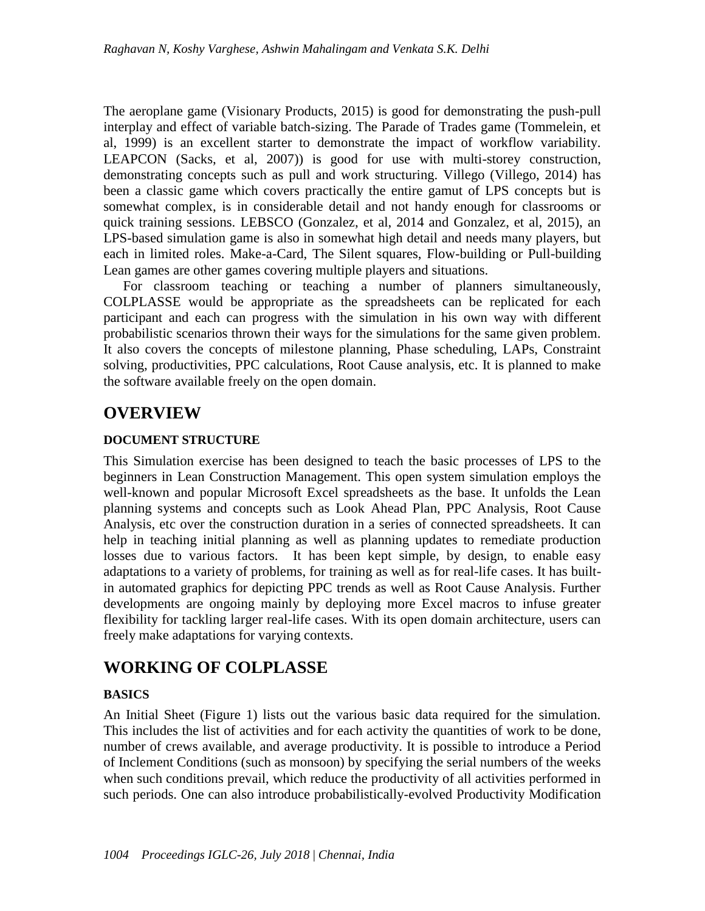The aeroplane game (Visionary Products, 2015) is good for demonstrating the push-pull interplay and effect of variable batch-sizing. The Parade of Trades game (Tommelein, et al, 1999) is an excellent starter to demonstrate the impact of workflow variability. LEAPCON (Sacks, et al, 2007)) is good for use with multi-storey construction, demonstrating concepts such as pull and work structuring. Villego (Villego, 2014) has been a classic game which covers practically the entire gamut of LPS concepts but is somewhat complex, is in considerable detail and not handy enough for classrooms or quick training sessions. LEBSCO (Gonzalez, et al, 2014 and Gonzalez, et al, 2015), an LPS-based simulation game is also in somewhat high detail and needs many players, but each in limited roles. Make-a-Card, The Silent squares, Flow-building or Pull-building Lean games are other games covering multiple players and situations.

For classroom teaching or teaching a number of planners simultaneously, COLPLASSE would be appropriate as the spreadsheets can be replicated for each participant and each can progress with the simulation in his own way with different probabilistic scenarios thrown their ways for the simulations for the same given problem. It also covers the concepts of milestone planning, Phase scheduling, LAPs, Constraint solving, productivities, PPC calculations, Root Cause analysis, etc. It is planned to make the software available freely on the open domain.

### **OVERVIEW**

#### **DOCUMENT STRUCTURE**

This Simulation exercise has been designed to teach the basic processes of LPS to the beginners in Lean Construction Management. This open system simulation employs the well-known and popular Microsoft Excel spreadsheets as the base. It unfolds the Lean planning systems and concepts such as Look Ahead Plan, PPC Analysis, Root Cause Analysis, etc over the construction duration in a series of connected spreadsheets. It can help in teaching initial planning as well as planning updates to remediate production losses due to various factors. It has been kept simple, by design, to enable easy adaptations to a variety of problems, for training as well as for real-life cases. It has builtin automated graphics for depicting PPC trends as well as Root Cause Analysis. Further developments are ongoing mainly by deploying more Excel macros to infuse greater flexibility for tackling larger real-life cases. With its open domain architecture, users can freely make adaptations for varying contexts.

### **WORKING OF COLPLASSE**

#### **BASICS**

An Initial Sheet (Figure 1) lists out the various basic data required for the simulation. This includes the list of activities and for each activity the quantities of work to be done, number of crews available, and average productivity. It is possible to introduce a Period of Inclement Conditions (such as monsoon) by specifying the serial numbers of the weeks when such conditions prevail, which reduce the productivity of all activities performed in such periods. One can also introduce probabilistically-evolved Productivity Modification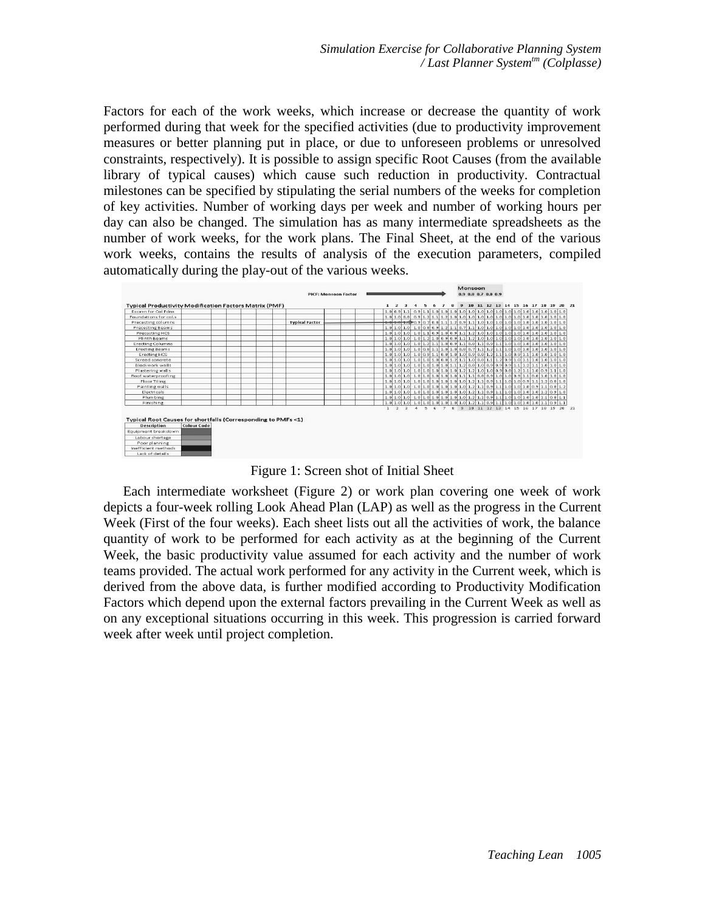Factors for each of the work weeks, which increase or decrease the quantity of work performed during that week for the specified activities (due to productivity improvement measures or better planning put in place, or due to unforeseen problems or unresolved constraints, respectively). It is possible to assign specific Root Causes (from the available library of typical causes) which cause such reduction in productivity. Contractual milestones can be specified by stipulating the serial numbers of the weeks for completion of key activities. Number of working days per week and number of working hours per day can also be changed. The simulation has as many intermediate spreadsheets as the number of work weeks, for the work plans. The Final Sheet, at the end of the various work weeks, contains the results of analysis of the execution parameters, compiled automatically during the play-out of the various weeks.



Figure 1: Screen shot of Initial Sheet

Each intermediate worksheet (Figure 2) or work plan covering one week of work depicts a four-week rolling Look Ahead Plan (LAP) as well as the progress in the Current Week (First of the four weeks). Each sheet lists out all the activities of work, the balance quantity of work to be performed for each activity as at the beginning of the Current Week, the basic productivity value assumed for each activity and the number of work teams provided. The actual work performed for any activity in the Current week, which is derived from the above data, is further modified according to Productivity Modification Factors which depend upon the external factors prevailing in the Current Week as well as on any exceptional situations occurring in this week. This progression is carried forward week after week until project completion.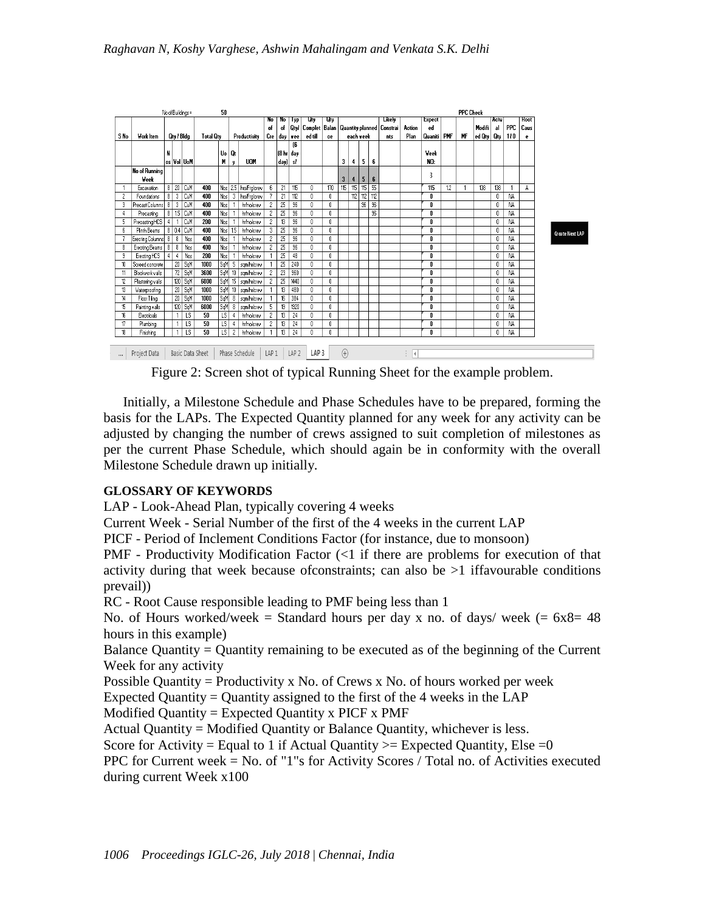|          |                  |                |                         | No of Buildings = |                  |  | 50              |                |                     |                          | <b>PPC Check</b> |                  |                  |                                                    |             |     |                 |                          |        |      |             |     |        |              |      |      |             |                 |
|----------|------------------|----------------|-------------------------|-------------------|------------------|--|-----------------|----------------|---------------------|--------------------------|------------------|------------------|------------------|----------------------------------------------------|-------------|-----|-----------------|--------------------------|--------|------|-------------|-----|--------|--------------|------|------|-------------|-----------------|
|          |                  |                |                         |                   |                  |  |                 |                |                     | No                       | No               | lyp              | एए               | Uty                                                |             |     |                 |                          | Likely |      | Expect      |     |        |              | Actu |      | <b>Hoot</b> |                 |
|          |                  |                |                         |                   |                  |  |                 |                | of                  | of                       |                  | Qtyl Complet     |                  | Balan   Quantity planned   Constrai  <br>each veek |             |     |                 |                          | Action | ed   |             |     | Modifi | al           | PPC  | Caus |             |                 |
| S No     | Work Item        |                | Qty / Bldg              |                   | <b>Total Otv</b> |  |                 | Productivity   |                     |                          |                  | Cre   day   wee  | ed till          | ce                                                 |             |     |                 |                          | nts    | Plan | Quaniti     | PMF | MF     | ed Qty   Qty |      | 110  | e           |                 |
|          |                  | N              |                         |                   |                  |  | Uo              | Qt             |                     |                          |                  | 16<br>[8 hr day  |                  |                                                    |             |     |                 |                          |        |      | <b>Veek</b> |     |        |              |      |      |             |                 |
|          |                  |                |                         | os Vol UoM        |                  |  | М               | y              | <b>UOM</b>          |                          | day)  sł         |                  |                  |                                                    | 3           | 4   | 5               | 6                        |        |      | NO:         |     |        |              |      |      |             |                 |
|          | No of Running    |                |                         |                   |                  |  |                 |                |                     |                          |                  |                  |                  |                                                    |             |     |                 |                          |        |      |             |     |        |              |      |      |             |                 |
|          | Week             |                |                         |                   |                  |  |                 |                |                     |                          |                  |                  |                  |                                                    | 3           | 4   | 5               | 6                        |        |      | 3           |     |        |              |      |      |             |                 |
|          | Excavation       | 8 <sub>1</sub> |                         | $20$ CuM          | 400              |  |                 |                | Nos 25 hrs/Ftg/crew | 6                        | $\overline{z}$   | 115              | 0                | 170                                                | 115         | 15  | 115             | $\overline{55}$          |        |      | 115         | 12  |        | 138          | 138  |      | A           |                 |
| 2        | Foundations      | 8              | 3                       | Cu <sup>M</sup>   | 400              |  | Nos             | 3              | hrs/Ftalcrew        |                          | 21               | 112              | 0                | 0                                                  |             | 112 | 112             | 112                      |        |      | 0           |     |        |              | 0    | NA   |             |                 |
| 3        | Precast Columns  | 8              | $\overline{\mathbf{3}}$ | CuM               | 400              |  | Nos             |                | hr/no/crew          | $\overline{c}$           | 25               | 96               | 0                | 0                                                  |             |     | $\overline{96}$ | $\overline{\mathcal{X}}$ |        |      | 0           |     |        |              | 0    | NA.  |             |                 |
|          | Precasting       |                |                         | 8   1.5   CuM     | 400              |  | Nos             |                | hr/no/crew          | 2                        | $\overline{25}$  | 96               | 0                | 0                                                  |             |     |                 | 96                       |        |      | 0           |     |        |              | 0    | ΝA   |             |                 |
|          | Precasting HCS   | $\overline{4}$ |                         | CuM               | 200              |  | Nos             |                | hr/no/crew          | $\overline{c}$           | $\overline{13}$  | 96               | Ũ.               | 0                                                  |             |     |                 |                          |        |      | 0           |     |        |              | 0    | NA.  |             |                 |
| 6        | Plinth Beams     |                |                         | 8 0.4 CuM         | 400              |  | Nos             | 15             | hrinolorew          | 3                        | 25               | 96               | 0                | 0                                                  |             |     |                 |                          |        |      | 0           |     |        |              | 0    | NA   |             | Create Next LAP |
|          | Erecting Columns | 8              | $\overline{\mathbf{8}}$ | Nos               | 400              |  | Nos             |                | hr/no/crew          | $\overline{c}$           | 25               | 96               | n                | 0                                                  |             |     |                 |                          |        |      | 0           |     |        |              | 0    | NA.  |             |                 |
|          | Erecting Beams   | 8              | 8                       | Nos               | 400              |  | Nos             |                | hr/no/crew          | 2                        | 25               | 96               | n.               | 0                                                  |             |     |                 |                          |        |      | n           |     |        |              | 0    | NA   |             |                 |
| 9        | Erecting HCS     | $\overline{4}$ | 4                       | Nos               | 200              |  | Nos             |                | hr/no/crew          |                          | 25               | 48               | n                | 0                                                  |             |     |                 |                          |        |      | 0           |     |        |              | 0    | NA   |             |                 |
|          | Screed concrete  |                |                         | $20 \mid$ SqM     | 1000             |  | SqM             | 5              | samhricrev          |                          | 25               | 240              | n                | 0                                                  |             |     |                 |                          |        |      | 0           |     |        |              | 0    | NΑ   |             |                 |
|          | Blockwork walls  |                |                         | $72$ SqM          | 3600             |  | SqM             | 10             | samhricrev          | $\mathcal{P}$            | 23               | 960              | n                | Ũ.                                                 |             |     |                 |                          |        |      | n           |     |        |              | n    | NА   |             |                 |
|          | Plastering walls |                |                         | 120 SqM           | 6000             |  | SqM             | 15             | samhricrev          | 2                        | 25               | 1440             | 0                | Ū.                                                 |             |     |                 |                          |        |      | 0           |     |        |              | 0    | NA   |             |                 |
| 13       | Waterproofing    |                |                         | $20 \mid$ SqM     | 1000             |  | SqM             | 10             | samhricrev          |                          | 13               | 480              | n.               | O                                                  |             |     |                 |                          |        |      | n           |     |        |              | 0    | NA.  |             |                 |
| 14       | Floor Tiling     |                |                         | $20$ SqM          | 1000             |  | SqM             | 8              | samhricrev          |                          | 16               | 384              | n                | 0                                                  |             |     |                 |                          |        |      | 0           |     |        |              | 0    | NA   |             |                 |
| 15       | Painting walls   |                |                         | 120 SqM           | 6000             |  | SqM             | $\overline{8}$ | samhricrew          | $\overline{5}$           | 19               | 1920             | n.               | 0                                                  |             |     |                 |                          |        |      | 0           |     |        |              | 0    | NA.  |             |                 |
| 16       | Electricals      |                |                         | $\overline{15}$   | 50               |  | LS              | 4              | hr/no/crew          | 2                        | 13               | 24               | Ũ.               | O                                                  |             |     |                 |                          |        |      | 0           |     |        |              | 0    | NA.  |             |                 |
| 17       | Plumbina         |                |                         | $\overline{LS}$   | 50               |  | $\overline{L}$  | 4              | hr/no/crew          | $\overline{\phantom{a}}$ | 13               | 24               | n                | 0                                                  |             |     |                 |                          |        |      | 0           |     |        |              | 0    | NA   |             |                 |
| 18       | Finishing        |                |                         | $\overline{15}$   | 50               |  | $\overline{15}$ | $\overline{c}$ | hr/no/crew          |                          | 13               | 24               | n                | $\overline{0}$                                     |             |     |                 |                          |        |      | 0           |     |        |              | 0    | NA   |             |                 |
| $\cdots$ | Project Data     |                |                         |                   | Basic Data Sheet |  |                 |                | Phase Schedule      | LAP 1                    |                  | LAP <sub>2</sub> | LAP <sub>3</sub> |                                                    | $\bigoplus$ |     |                 |                          |        | i K  |             |     |        |              |      |      |             |                 |

Figure 2: Screen shot of typical Running Sheet for the example problem.

Initially, a Milestone Schedule and Phase Schedules have to be prepared, forming the basis for the LAPs. The Expected Quantity planned for any week for any activity can be adjusted by changing the number of crews assigned to suit completion of milestones as per the current Phase Schedule, which should again be in conformity with the overall Milestone Schedule drawn up initially.

#### **GLOSSARY OF KEYWORDS**

LAP - Look-Ahead Plan, typically covering 4 weeks

Current Week - Serial Number of the first of the 4 weeks in the current LAP

PICF - Period of Inclement Conditions Factor (for instance, due to monsoon)

PMF - Productivity Modification Factor (<1 if there are problems for execution of that activity during that week because ofconstraints; can also be >1 iffavourable conditions prevail))

RC - Root Cause responsible leading to PMF being less than 1

No. of Hours worked/week = Standard hours per day x no. of days/ week  $(= 6x8=48$ hours in this example)

Balance Quantity = Quantity remaining to be executed as of the beginning of the Current Week for any activity

Possible Quantity = Productivity x No. of Crews x No. of hours worked per week

Expected Quantity = Quantity assigned to the first of the 4 weeks in the LAP

Modified Quantity = Expected Quantity x PICF x PMF

Actual Quantity = Modified Quantity or Balance Quantity, whichever is less.

Score for Activity = Equal to 1 if Actual Quantity  $>=$  Expected Quantity, Else = 0

PPC for Current week = No. of "1"s for Activity Scores / Total no. of Activities executed during current Week x100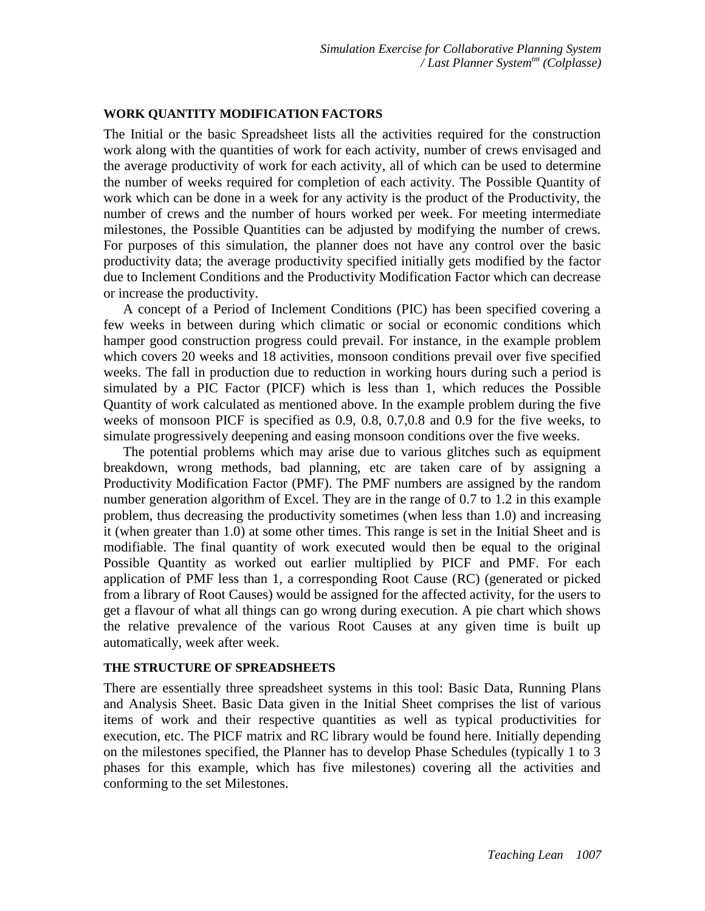#### **WORK QUANTITY MODIFICATION FACTORS**

The Initial or the basic Spreadsheet lists all the activities required for the construction work along with the quantities of work for each activity, number of crews envisaged and the average productivity of work for each activity, all of which can be used to determine the number of weeks required for completion of each activity. The Possible Quantity of work which can be done in a week for any activity is the product of the Productivity, the number of crews and the number of hours worked per week. For meeting intermediate milestones, the Possible Quantities can be adjusted by modifying the number of crews. For purposes of this simulation, the planner does not have any control over the basic productivity data; the average productivity specified initially gets modified by the factor due to Inclement Conditions and the Productivity Modification Factor which can decrease or increase the productivity.

A concept of a Period of Inclement Conditions (PIC) has been specified covering a few weeks in between during which climatic or social or economic conditions which hamper good construction progress could prevail. For instance, in the example problem which covers 20 weeks and 18 activities, monsoon conditions prevail over five specified weeks. The fall in production due to reduction in working hours during such a period is simulated by a PIC Factor (PICF) which is less than 1, which reduces the Possible Quantity of work calculated as mentioned above. In the example problem during the five weeks of monsoon PICF is specified as 0.9, 0.8, 0.7,0.8 and 0.9 for the five weeks, to simulate progressively deepening and easing monsoon conditions over the five weeks.

The potential problems which may arise due to various glitches such as equipment breakdown, wrong methods, bad planning, etc are taken care of by assigning a Productivity Modification Factor (PMF). The PMF numbers are assigned by the random number generation algorithm of Excel. They are in the range of 0.7 to 1.2 in this example problem, thus decreasing the productivity sometimes (when less than 1.0) and increasing it (when greater than 1.0) at some other times. This range is set in the Initial Sheet and is modifiable. The final quantity of work executed would then be equal to the original Possible Quantity as worked out earlier multiplied by PICF and PMF. For each application of PMF less than 1, a corresponding Root Cause (RC) (generated or picked from a library of Root Causes) would be assigned for the affected activity, for the users to get a flavour of what all things can go wrong during execution. A pie chart which shows the relative prevalence of the various Root Causes at any given time is built up automatically, week after week.

#### **THE STRUCTURE OF SPREADSHEETS**

There are essentially three spreadsheet systems in this tool: Basic Data, Running Plans and Analysis Sheet. Basic Data given in the Initial Sheet comprises the list of various items of work and their respective quantities as well as typical productivities for execution, etc. The PICF matrix and RC library would be found here. Initially depending on the milestones specified, the Planner has to develop Phase Schedules (typically 1 to 3 phases for this example, which has five milestones) covering all the activities and conforming to the set Milestones.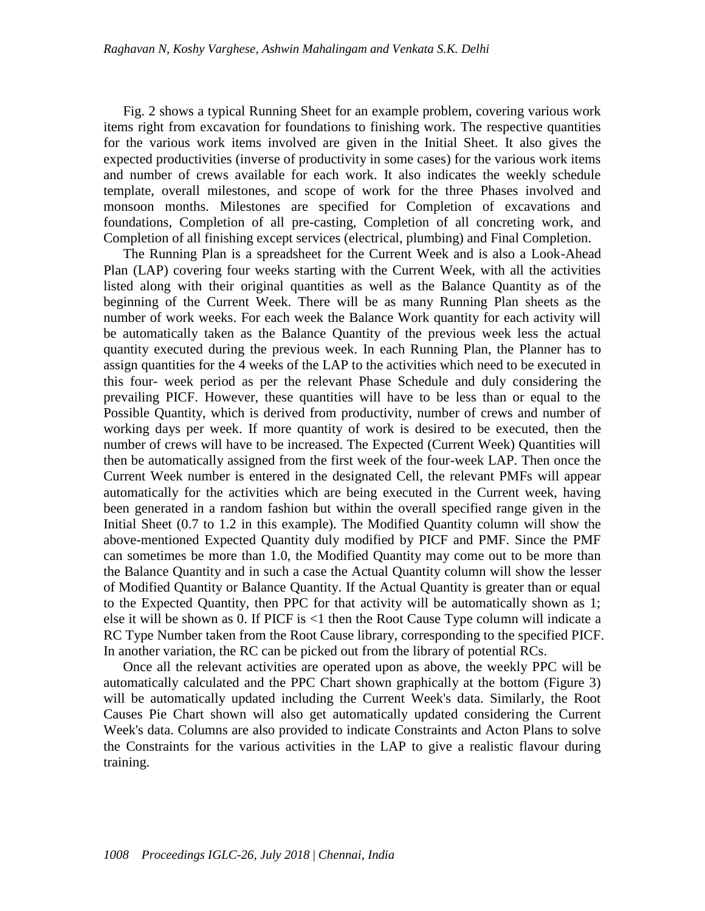Fig. 2 shows a typical Running Sheet for an example problem, covering various work items right from excavation for foundations to finishing work. The respective quantities for the various work items involved are given in the Initial Sheet. It also gives the expected productivities (inverse of productivity in some cases) for the various work items and number of crews available for each work. It also indicates the weekly schedule template, overall milestones, and scope of work for the three Phases involved and monsoon months. Milestones are specified for Completion of excavations and foundations, Completion of all pre-casting, Completion of all concreting work, and Completion of all finishing except services (electrical, plumbing) and Final Completion.

The Running Plan is a spreadsheet for the Current Week and is also a Look-Ahead Plan (LAP) covering four weeks starting with the Current Week, with all the activities listed along with their original quantities as well as the Balance Quantity as of the beginning of the Current Week. There will be as many Running Plan sheets as the number of work weeks. For each week the Balance Work quantity for each activity will be automatically taken as the Balance Quantity of the previous week less the actual quantity executed during the previous week. In each Running Plan, the Planner has to assign quantities for the 4 weeks of the LAP to the activities which need to be executed in this four- week period as per the relevant Phase Schedule and duly considering the prevailing PICF. However, these quantities will have to be less than or equal to the Possible Quantity, which is derived from productivity, number of crews and number of working days per week. If more quantity of work is desired to be executed, then the number of crews will have to be increased. The Expected (Current Week) Quantities will then be automatically assigned from the first week of the four-week LAP. Then once the Current Week number is entered in the designated Cell, the relevant PMFs will appear automatically for the activities which are being executed in the Current week, having been generated in a random fashion but within the overall specified range given in the Initial Sheet (0.7 to 1.2 in this example). The Modified Quantity column will show the above-mentioned Expected Quantity duly modified by PICF and PMF. Since the PMF can sometimes be more than 1.0, the Modified Quantity may come out to be more than the Balance Quantity and in such a case the Actual Quantity column will show the lesser of Modified Quantity or Balance Quantity. If the Actual Quantity is greater than or equal to the Expected Quantity, then PPC for that activity will be automatically shown as 1; else it will be shown as 0. If PICF is <1 then the Root Cause Type column will indicate a RC Type Number taken from the Root Cause library, corresponding to the specified PICF. In another variation, the RC can be picked out from the library of potential RCs.

Once all the relevant activities are operated upon as above, the weekly PPC will be automatically calculated and the PPC Chart shown graphically at the bottom (Figure 3) will be automatically updated including the Current Week's data. Similarly, the Root Causes Pie Chart shown will also get automatically updated considering the Current Week's data. Columns are also provided to indicate Constraints and Acton Plans to solve the Constraints for the various activities in the LAP to give a realistic flavour during training.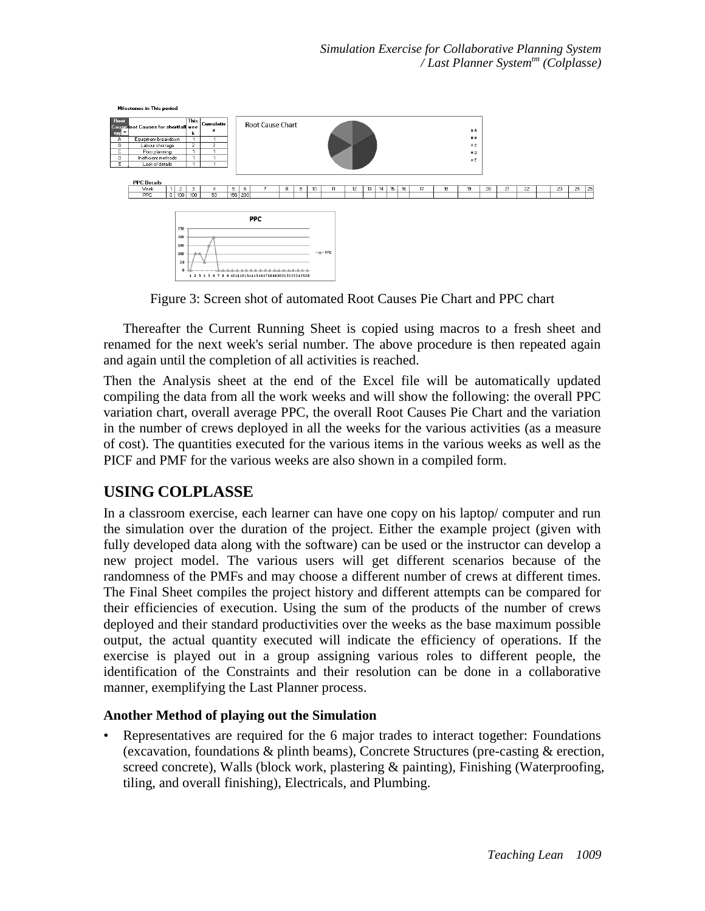

Figure 3: Screen shot of automated Root Causes Pie Chart and PPC chart

Thereafter the Current Running Sheet is copied using macros to a fresh sheet and renamed for the next week's serial number. The above procedure is then repeated again and again until the completion of all activities is reached.

Then the Analysis sheet at the end of the Excel file will be automatically updated compiling the data from all the work weeks and will show the following: the overall PPC variation chart, overall average PPC, the overall Root Causes Pie Chart and the variation in the number of crews deployed in all the weeks for the various activities (as a measure of cost). The quantities executed for the various items in the various weeks as well as the PICF and PMF for the various weeks are also shown in a compiled form.

### **USING COLPLASSE**

In a classroom exercise, each learner can have one copy on his laptop/ computer and run the simulation over the duration of the project. Either the example project (given with fully developed data along with the software) can be used or the instructor can develop a new project model. The various users will get different scenarios because of the randomness of the PMFs and may choose a different number of crews at different times. The Final Sheet compiles the project history and different attempts can be compared for their efficiencies of execution. Using the sum of the products of the number of crews deployed and their standard productivities over the weeks as the base maximum possible output, the actual quantity executed will indicate the efficiency of operations. If the exercise is played out in a group assigning various roles to different people, the identification of the Constraints and their resolution can be done in a collaborative manner, exemplifying the Last Planner process.

### **Another Method of playing out the Simulation**

• Representatives are required for the 6 major trades to interact together: Foundations (excavation, foundations & plinth beams), Concrete Structures (pre-casting & erection, screed concrete), Walls (block work, plastering & painting), Finishing (Waterproofing, tiling, and overall finishing), Electricals, and Plumbing.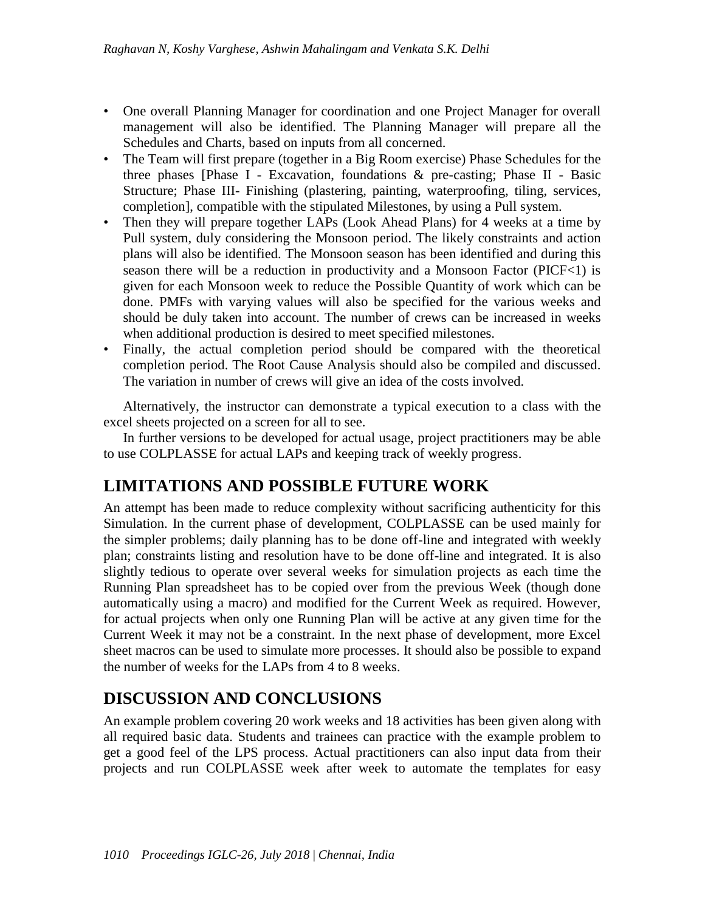- One overall Planning Manager for coordination and one Project Manager for overall management will also be identified. The Planning Manager will prepare all the Schedules and Charts, based on inputs from all concerned.
- The Team will first prepare (together in a Big Room exercise) Phase Schedules for the three phases [Phase I - Excavation, foundations & pre-casting; Phase II - Basic Structure; Phase III- Finishing (plastering, painting, waterproofing, tiling, services, completion], compatible with the stipulated Milestones, by using a Pull system.
- Then they will prepare together LAPs (Look Ahead Plans) for 4 weeks at a time by Pull system, duly considering the Monsoon period. The likely constraints and action plans will also be identified. The Monsoon season has been identified and during this season there will be a reduction in productivity and a Monsoon Factor (PICF<1) is given for each Monsoon week to reduce the Possible Quantity of work which can be done. PMFs with varying values will also be specified for the various weeks and should be duly taken into account. The number of crews can be increased in weeks when additional production is desired to meet specified milestones.
- Finally, the actual completion period should be compared with the theoretical completion period. The Root Cause Analysis should also be compiled and discussed. The variation in number of crews will give an idea of the costs involved.

Alternatively, the instructor can demonstrate a typical execution to a class with the excel sheets projected on a screen for all to see.

In further versions to be developed for actual usage, project practitioners may be able to use COLPLASSE for actual LAPs and keeping track of weekly progress.

# **LIMITATIONS AND POSSIBLE FUTURE WORK**

An attempt has been made to reduce complexity without sacrificing authenticity for this Simulation. In the current phase of development, COLPLASSE can be used mainly for the simpler problems; daily planning has to be done off-line and integrated with weekly plan; constraints listing and resolution have to be done off-line and integrated. It is also slightly tedious to operate over several weeks for simulation projects as each time the Running Plan spreadsheet has to be copied over from the previous Week (though done automatically using a macro) and modified for the Current Week as required. However, for actual projects when only one Running Plan will be active at any given time for the Current Week it may not be a constraint. In the next phase of development, more Excel sheet macros can be used to simulate more processes. It should also be possible to expand the number of weeks for the LAPs from 4 to 8 weeks.

# **DISCUSSION AND CONCLUSIONS**

An example problem covering 20 work weeks and 18 activities has been given along with all required basic data. Students and trainees can practice with the example problem to get a good feel of the LPS process. Actual practitioners can also input data from their projects and run COLPLASSE week after week to automate the templates for easy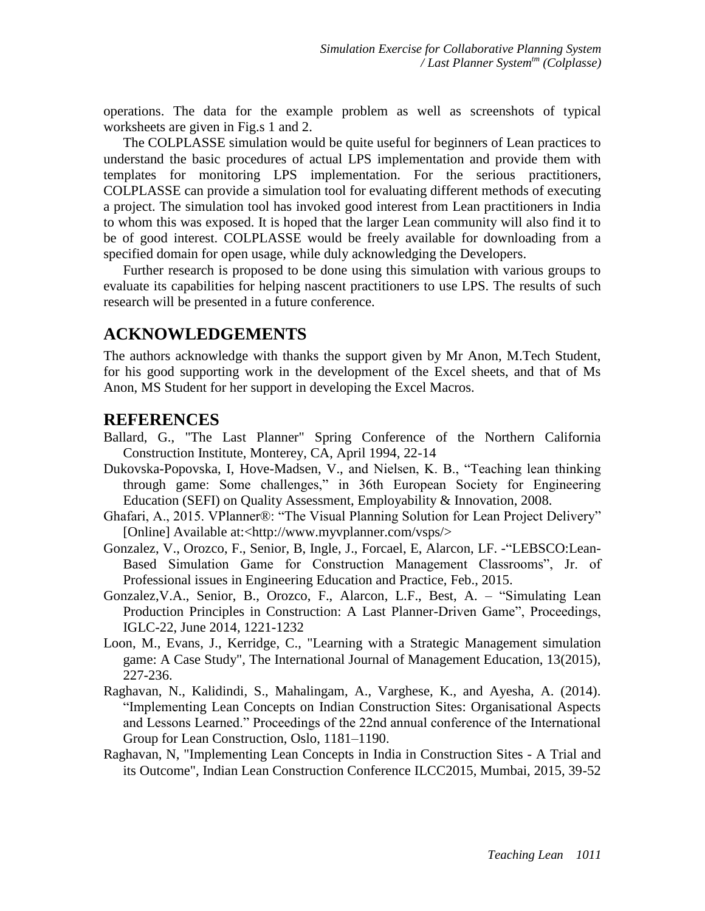operations. The data for the example problem as well as screenshots of typical worksheets are given in Fig.s 1 and 2.

The COLPLASSE simulation would be quite useful for beginners of Lean practices to understand the basic procedures of actual LPS implementation and provide them with templates for monitoring LPS implementation. For the serious practitioners, COLPLASSE can provide a simulation tool for evaluating different methods of executing a project. The simulation tool has invoked good interest from Lean practitioners in India to whom this was exposed. It is hoped that the larger Lean community will also find it to be of good interest. COLPLASSE would be freely available for downloading from a specified domain for open usage, while duly acknowledging the Developers.

Further research is proposed to be done using this simulation with various groups to evaluate its capabilities for helping nascent practitioners to use LPS. The results of such research will be presented in a future conference.

### **ACKNOWLEDGEMENTS**

The authors acknowledge with thanks the support given by Mr Anon, M.Tech Student, for his good supporting work in the development of the Excel sheets, and that of Ms Anon, MS Student for her support in developing the Excel Macros.

#### **REFERENCES**

- Ballard, G., "The Last Planner" Spring Conference of the Northern California Construction Institute, Monterey, CA, April 1994, 22-14
- Dukovska-Popovska, I, Hove-Madsen, V., and Nielsen, K. B., "Teaching lean thinking through game: Some challenges," in 36th European Society for Engineering Education (SEFI) on Quality Assessment, Employability & Innovation, 2008.
- Ghafari, A., 2015. VPlanner®: "The Visual Planning Solution for Lean Project Delivery" [Online] Available at:<http://www.myvplanner.com/vsps/>
- Gonzalez, V., Orozco, F., Senior, B, Ingle, J., Forcael, E, Alarcon, LF. -"LEBSCO:Lean-Based Simulation Game for Construction Management Classrooms", Jr. of Professional issues in Engineering Education and Practice, Feb., 2015.
- Gonzalez,V.A., Senior, B., Orozco, F., Alarcon, L.F., Best, A. "Simulating Lean Production Principles in Construction: A Last Planner-Driven Game", Proceedings, IGLC-22, June 2014, 1221-1232
- Loon, M., Evans, J., Kerridge, C., "Learning with a Strategic Management simulation game: A Case Study", The International Journal of Management Education, 13(2015), 227-236.
- Raghavan, N., Kalidindi, S., Mahalingam, A., Varghese, K., and Ayesha, A. (2014). "Implementing Lean Concepts on Indian Construction Sites: Organisational Aspects and Lessons Learned." Proceedings of the 22nd annual conference of the International Group for Lean Construction, Oslo, 1181–1190.
- Raghavan, N, "Implementing Lean Concepts in India in Construction Sites A Trial and its Outcome", Indian Lean Construction Conference ILCC2015, Mumbai, 2015, 39-52